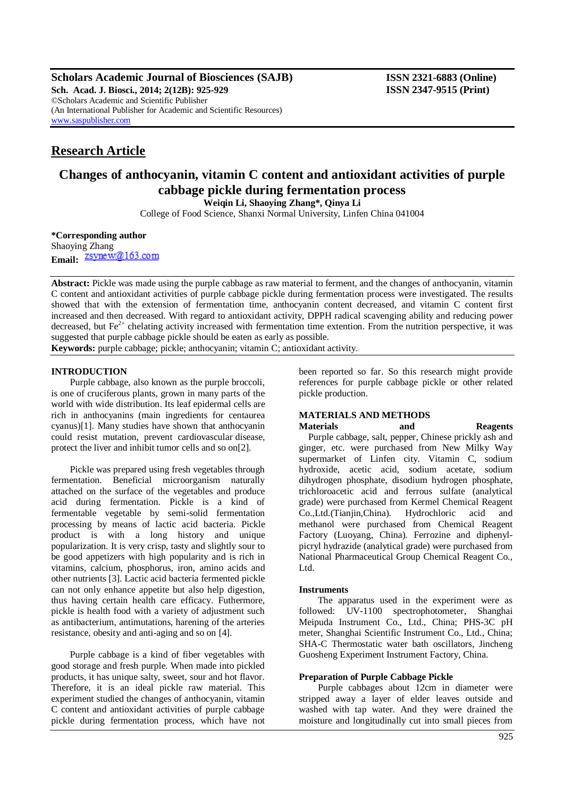**Scholars Academic Journal of Biosciences (SAJB) ISSN 2321-6883 (Online) Sch. Acad. J. Biosci., 2014; 2(12B): 925-929 ISSN 2347-9515 (Print)** ©Scholars Academic and Scientific Publisher (An International Publisher for Academic and Scientific Resources) [www.saspublisher.com](http://www.saspublisher.com/)

# **Research Article**

# **Changes of anthocyanin, vitamin C content and antioxidant activities of purple cabbage pickle during fermentation process**

**Weiqin Li, Shaoying Zhang\*, Qinya Li**

College of Food Science, Shanxi Normal University, Linfen China 041004

**\*Corresponding author**

Shaoying Zhang Email: <u>Zsynew@163.com</u>

**Abstract:** Pickle was made using the purple cabbage as raw material to ferment, and the changes of anthocyanin, vitamin C content and antioxidant activities of purple cabbage pickle during fermentation process were investigated. The results showed that with the extension of fermentation time, anthocyanin content decreased, and vitamin C content first increased and then decreased. With regard to antioxidant activity, DPPH radical scavenging ability and reducing power decreased, but  $Fe<sup>2+</sup>$  chelating activity increased with fermentation time extention. From the nutrition perspective, it was suggested that purple cabbage pickle should be eaten as early as possible.

**Keywords:** purple cabbage; pickle; anthocyanin; vitamin C; antioxidant activity.

# **INTRODUCTION**

Purple cabbage, also known as the purple broccoli, is one of cruciferous plants, grown in many parts of the world with wide distribution. Its leaf epidermal cells are rich in anthocyanins (main ingredients for centaurea cyanus)[1]. Many studies have shown that anthocyanin could resist mutation, prevent cardiovascular disease, protect the liver and inhibit tumor cells and so on[2].

Pickle was prepared using fresh vegetables through fermentation. Beneficial microorganism naturally attached on the surface of the vegetables and produce acid during fermentation. Pickle is a kind of fermentable vegetable by semi-solid fermentation processing by means of lactic acid bacteria. Pickle product is with a long history and unique popularization. It is very crisp, tasty and slightly sour to be good appetizers with high popularity and is rich in vitamins, calcium, phosphorus, iron, amino acids and other nutrients [3]. Lactic acid bacteria fermented pickle can not only enhance appetite but also help digestion, thus having certain health care efficacy. Futhermore, pickle is health food with a variety of adjustment such as antibacterium, antimutations, harening of the arteries resistance, obesity and anti-aging and so on [4].

Purple cabbage is a kind of fiber vegetables with good storage and fresh purple. When made into pickled products, it has unique salty, sweet, sour and hot flavor. Therefore, it is an ideal pickle raw material. This experiment studied the changes of anthocyanin, vitamin C content and antioxidant activities of purple cabbage pickle during fermentation process, which have not been reported so far. So this research might provide references for purple cabbage pickle or other related pickle production.

# **MATERIALS AND METHODS**

 Purple cabbage, salt, pepper, Chinese prickly ash and ginger, etc. were purchased from New Milky Way supermarket of Linfen city. Vitamin C, sodium hydroxide, acetic acid, sodium acetate, sodium dihydrogen phosphate, disodium hydrogen phosphate, trichloroacetic acid and ferrous sulfate (analytical grade) were purchased from Kermel Chemical Reagent Co.,Ltd.(Tianjin,China). Hydrochloric acid and methanol were purchased from Chemical Reagent Factory (Luoyang, China). Ferrozine and diphenylpicryl hydrazide (analytical grade) were purchased from National Pharmaceutical Group Chemical Reagent Co., L<sub>td</sub>

#### **Instruments**

The apparatus used in the experiment were as followed: UV-1100 spectrophotometer, Shanghai Meipuda Instrument Co., Ltd., China; PHS-3C pH meter, Shanghai Scientific Instrument Co., Ltd., China; SHA-C Thermostatic water bath oscillators, Jincheng Guosheng Experiment Instrument Factory, China.

## **Preparation of Purple Cabbage Pickle**

Purple cabbages about 12cm in diameter were stripped away a layer of elder leaves outside and washed with tap water. And they were drained the moisture and longitudinally cut into small pieces from

# **Materials and Reagents**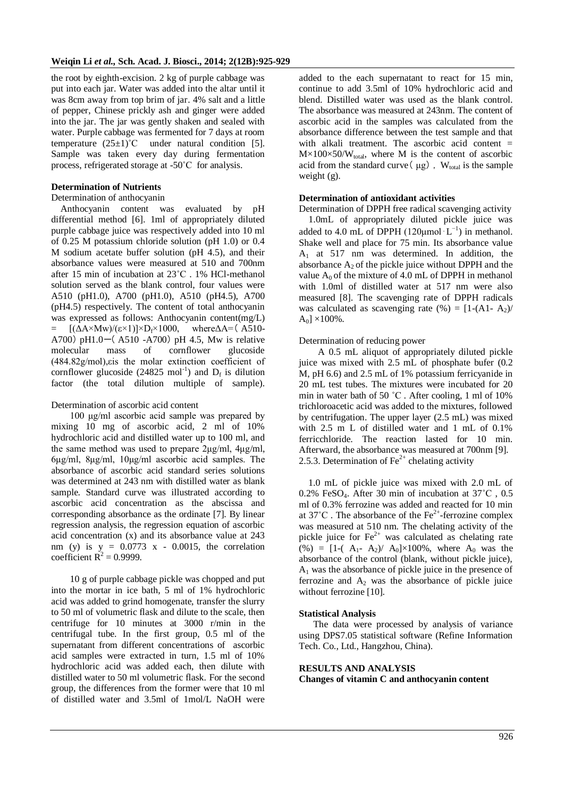the root by eighth-excision. 2 kg of purple cabbage was put into each jar. Water was added into the altar until it was 8cm away from top brim of jar. 4% salt and a little of pepper, Chinese prickly ash and ginger were added into the jar. The jar was gently shaken and sealed with water. Purple cabbage was fermented for 7 days at room temperature  $(25\pm1)$ °C under natural condition [5]. Sample was taken every day during fermentation process, refrigerated storage at -50˚C for analysis.

## **Determination of Nutrients**

#### Determination of anthocyanin

 Anthocyanin content was evaluated by pH differential method [6]. 1ml of appropriately diluted purple cabbage juice was respectively added into 10 ml of 0.25 M potassium chloride solution (pH 1.0) or 0.4 M sodium acetate buffer solution (pH 4.5), and their absorbance values were measured at 510 and 700nm after 15 min of incubation at 23˚C . 1% HCl-methanol solution served as the blank control, four values were A510 (pH1.0), A700 (pH1.0), A510 (pH4.5), A700 (pH4.5) respectively. The content of total anthocyanin was expressed as follows: Anthocyanin content(mg/L) =  $[(\Delta A \times Mw)/(\epsilon \times 1)] \times D_f \times 1000$ , where $\Delta A = (A510 -$ A700) pH1.0 $-$ (A510 -A700) pH 4.5, Mw is relative molecular mass of cornflower glucoside (484.82g/mol),εis the molar extinction coefficient of cornflower glucoside (24825 mol<sup>-1</sup>) and  $D_f$  is dilution factor (the total dilution multiple of sample).

Determination of ascorbic acid content

100 μg/ml ascorbic acid sample was prepared by mixing 10 mg of ascorbic acid, 2 ml of 10% hydrochloric acid and distilled water up to 100 ml, and the same method was used to prepare 2μg/ml, 4μg/ml, 6μg/ml, 8μg/ml, 10μg/ml ascorbic acid samples. The absorbance of ascorbic acid standard series solutions was determined at 243 nm with distilled water as blank sample. Standard curve was illustrated according to ascorbic acid concentration as the abscissa and corresponding absorbance as the ordinate [7]. By linear regression analysis, the regression equation of ascorbic acid concentration (x) and its absorbance value at 243 nm (y) is  $y = 0.0773$  x - 0.0015, the correlation coefficient  $R^2 = 0.9999$ .

10 g of purple cabbage pickle was chopped and put into the mortar in ice bath, 5 ml of 1% hydrochloric acid was added to grind homogenate, transfer the slurry to 50 ml of volumetric flask and dilute to the scale, then centrifuge for 10 minutes at 3000 r/min in the centrifugal tube. In the first group, 0.5 ml of the supernatant from different concentrations of ascorbic acid samples were extracted in turn, 1.5 ml of 10% hydrochloric acid was added each, then dilute with distilled water to 50 ml volumetric flask. For the second group, the differences from the former were that 10 ml of distilled water and 3.5ml of 1mol/L NaOH were

added to the each supernatant to react for 15 min, continue to add 3.5ml of 10% hydrochloric acid and blend. Distilled water was used as the blank control. The absorbance was measured at 243nm. The content of ascorbic acid in the samples was calculated from the absorbance difference between the test sample and that with alkali treatment. The ascorbic acid content  $=$  $M \times 100 \times 50/W_{total}$ , where M is the content of ascorbic acid from the standard curve  $(\mu g)$ , W<sub>total</sub> is the sample weight (g).

## **Determination of antioxidant activities**

Determination of DPPH free radical scavenging activity 1.0mL of appropriately diluted pickle juice was added to 4.0 mL of DPPH  $(120 \mu \text{mol} \cdot \text{L}^{-1})$  in methanol. Shake well and place for 75 min. Its absorbance value  $A_1$  at 517 nm was determined. In addition, the absorbance  $A_2$  of the pickle juice without DPPH and the value  $A_0$  of the mixture of 4.0 mL of DPPH in methanol with 1.0ml of distilled water at 517 nm were also measured [8]. The scavenging rate of DPPH radicals was calculated as scavenging rate  $(\% ) = [1-(A1-A<sub>2</sub>))$  $A_0$ ] ×100%.

#### Determination of reducing power

A 0.5 mL aliquot of appropriately diluted pickle juice was mixed with 2.5 mL of phosphate bufer (0.2) M, pH 6.6) and 2.5 mL of 1% potassium ferricyanide in 20 mL test tubes. The mixtures were incubated for 20 min in water bath of 50 ˚C . After cooling, 1 ml of 10% trichloroacetic acid was added to the mixtures, followed by centrifugation. The upper layer (2.5 mL) was mixed with 2.5 m L of distilled water and 1 mL of 0.1% ferricchloride. The reaction lasted for 10 min. Afterward, the absorbance was measured at 700nm [9]. 2.5.3. Determination of  $\text{Fe}^{2+}$  chelating activity

1.0 mL of pickle juice was mixed with 2.0 mL of 0.2% FeSO4. After 30 min of incubation at 37˚C , 0.5 ml of 0.3% ferrozine was added and reacted for 10 min at  $37^{\circ}$ C. The absorbance of the Fe<sup>2+</sup>-ferrozine complex was measured at 510 nm. The chelating activity of the pickle juice for  $\text{Fe}^{2+}$  was calculated as chelating rate  $(\%) = [1-(A_1 - A_2)/A_0] \times 100\%$ , where A<sub>0</sub> was the absorbance of the control (blank, without pickle juice), A<sup>1</sup> was the absorbance of pickle juice in the presence of ferrozine and  $A_2$  was the absorbance of pickle juice without ferrozine [10].

#### **Statistical Analysis**

The data were processed by analysis of variance using DPS7.05 statistical software (Refine Information Tech. Co., Ltd., Hangzhou, China).

#### **RESULTS AND ANALYSIS**

**Changes of vitamin C and anthocyanin content**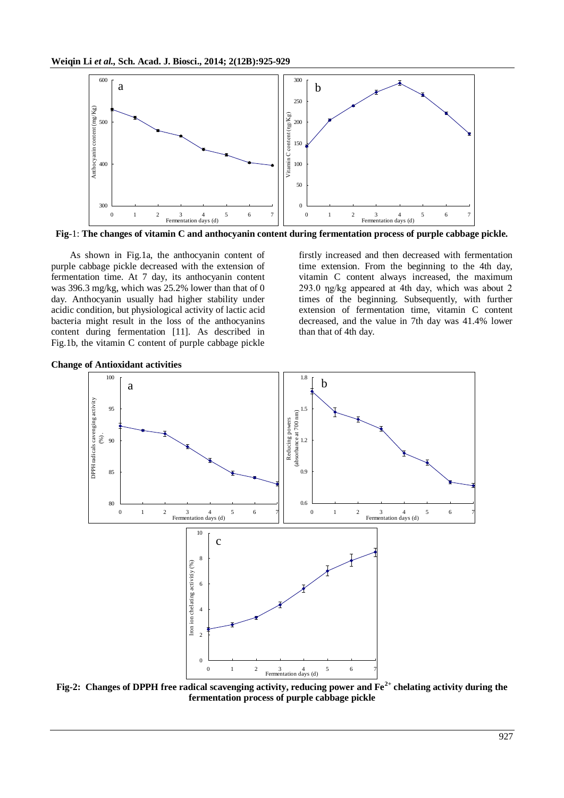

**Fig**-1: **The changes of vitamin C and anthocyanin content during fermentation process of purple cabbage pickle.**

As shown in Fig.1a, the anthocyanin content of purple cabbage pickle decreased with the extension of fermentation time. At 7 day, its anthocyanin content was 396.3 mg/kg, which was 25.2% lower than that of 0 day. Anthocyanin usually had higher stability under acidic condition, but physiological activity of lactic acid bacteria might result in the loss of the anthocyanins content during fermentation [11]. As described in Fig.1b, the vitamin C content of purple cabbage pickle

firstly increased and then decreased with fermentation time extension. From the beginning to the 4th day, vitamin C content always increased, the maximum 293.0 ηg/kg appeared at 4th day, which was about 2 times of the beginning. Subsequently, with further extension of fermentation time, vitamin C content decreased, and the value in 7th day was 41.4% lower than that of 4th day.



**Change of Antioxidant activities**

**Fig-2: Changes of DPPH free radical scavenging activity, reducing power and Fe2+ chelating activity during the fermentation process of purple cabbage pickle**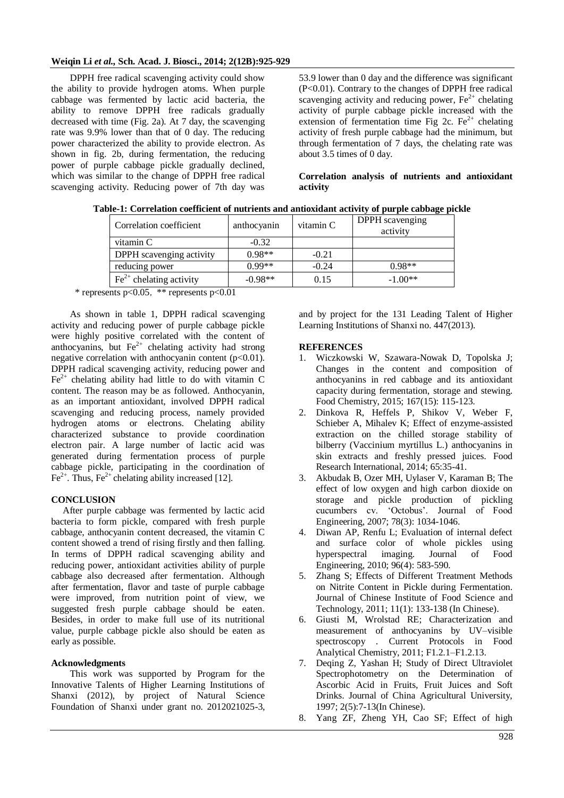## **Weiqin Li** *et al.,* **Sch. Acad. J. Biosci., 2014; 2(12B):925-929**

DPPH free radical scavenging activity could show the ability to provide hydrogen atoms. When purple cabbage was fermented by lactic acid bacteria, the ability to remove DPPH free radicals gradually decreased with time (Fig. 2a). At 7 day, the scavenging rate was 9.9% lower than that of 0 day. The reducing power characterized the ability to provide electron. As shown in fig. 2b, during fermentation, the reducing power of purple cabbage pickle gradually declined, which was similar to the change of DPPH free radical scavenging activity. Reducing power of 7th day was

53.9 lower than 0 day and the difference was significant (P<0.01). Contrary to the changes of DPPH free radical scavenging activity and reducing power,  $Fe<sup>2+</sup>$  chelating activity of purple cabbage pickle increased with the extension of fermentation time Fig 2c.  $Fe<sup>2+</sup>$  chelating activity of fresh purple cabbage had the minimum, but through fermentation of 7 days, the chelating rate was about 3.5 times of 0 day.

**Correlation analysis of nutrients and antioxidant activity**

| Correlation coefficient                | anthocyanin | vitamin C | DPPH scavenging<br>activity |
|----------------------------------------|-------------|-----------|-----------------------------|
| vitamin C                              | $-0.32$     |           |                             |
| DPPH scavenging activity               | $0.98**$    | $-0.21$   |                             |
| reducing power                         | $0.99**$    | $-0.24$   | $0.98**$                    |
| $\text{Fe}^{2+}$<br>chelating activity | $-0.98**$   | 0.15      | $-1.00**$                   |

**Table-1: Correlation coefficient of nutrients and antioxidant activity of purple cabbage pickle**

\* represents  $p<0.05$ , \*\* represents  $p<0.01$ 

As shown in table 1, DPPH radical scavenging activity and reducing power of purple cabbage pickle were highly positive correlated with the content of anthocyanins, but  $\text{Fe}^{2+}$  chelating activity had strong negative correlation with anthocyanin content  $(p<0.01)$ . DPPH radical scavenging activity, reducing power and  $Fe<sup>2+</sup>$  chelating ability had little to do with vitamin C content. The reason may be as followed. Anthocyanin, as an important antioxidant, involved DPPH radical scavenging and reducing process, namely provided hydrogen atoms or electrons. Chelating ability characterized substance to provide coordination electron pair. A large number of lactic acid was generated during fermentation process of purple cabbage pickle, participating in the coordination of  $Fe<sup>2+</sup>$ . Thus,  $Fe<sup>2+</sup>$  chelating ability increased [12].

# **CONCLUSION**

 After purple cabbage was fermented by lactic acid bacteria to form pickle, compared with fresh purple cabbage, anthocyanin content decreased, the vitamin C content showed a trend of rising firstly and then falling. In terms of DPPH radical scavenging ability and reducing power, antioxidant activities ability of purple cabbage also decreased after fermentation. Although after fermentation, flavor and taste of purple cabbage were improved, from nutrition point of view, we suggested fresh purple cabbage should be eaten. Besides, in order to make full use of its nutritional value, purple cabbage pickle also should be eaten as early as possible.

### **Acknowledgments**

This work was supported by Program for the Innovative Talents of Higher Learning Institutions of Shanxi (2012), by project of Natural Science Foundation of Shanxi under grant no. 2012021025-3,

and by project for the 131 Leading Talent of Higher Learning Institutions of Shanxi no. 447(2013).

#### **REFERENCES**

- 1. Wiczkowski W, Szawara-Nowak D, Topolska J; Changes in the content and composition of anthocyanins in red cabbage and its antioxidant capacity during fermentation, storage and stewing. Food Chemistry, 2015; 167(15): 115-123.
- 2. Dinkova R, Heffels P, Shikov V, Weber F, Schieber A, Mihalev K; Effect of enzyme-assisted extraction on the chilled storage stability of bilberry (Vaccinium myrtillus L.) anthocyanins in skin extracts and freshly pressed juices. Food Research International, 2014; 65:35-41.
- 3. Akbudak B, Ozer MH, Uylaser V, Karaman B; The effect of low oxygen and high carbon dioxide on storage and pickle production of pickling cucumbers cv. 'Octobus'. Journal of Food Engineering, 2007; 78(3): 1034-1046.
- 4. Diwan AP, Renfu L; Evaluation of internal defect and surface color of whole pickles using hyperspectral imaging. Journal of Food Engineering, 2010; 96(4): 583-590.
- 5. Zhang S; Effects of Different Treatment Methods on Nitrite Content in Pickle during Fermentation. Journal of Chinese Institute of Food Science and Technology, 2011; 11(1): 133-138 (In Chinese).
- 6. Giusti M, Wrolstad RE; Characterization and measurement of anthocyanins by UV–visible spectroscopy . Current Protocols in Food Analytical Chemistry, 2011; F1.2.1–F1.2.13.
- 7. Deqing Z, Yashan H; Study of Direct Ultraviolet Spectrophotometry on the Determination of Ascorbic Acid in Fruits, Fruit Juices and Soft Drinks. Journal of China Agricultural University, 1997; 2(5):7-13(In Chinese).
- 8. Yang ZF, Zheng YH, Cao SF; Effect of high